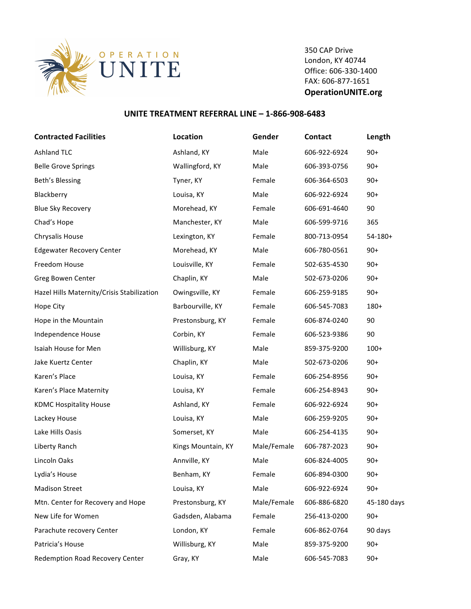

350 CAP Drive London, KY 40744 Office: 606-330-1400 FAX: 606-877-1651 **OperationUNITE.org**

## **UNITE TREATMENT REFERRAL LINE - 1-866-908-6483**

| <b>Contracted Facilities</b>               | Location           | Gender      | <b>Contact</b> | Length      |
|--------------------------------------------|--------------------|-------------|----------------|-------------|
| <b>Ashland TLC</b>                         | Ashland, KY        | Male        | 606-922-6924   | $90+$       |
| <b>Belle Grove Springs</b>                 | Wallingford, KY    | Male        | 606-393-0756   | $90+$       |
| Beth's Blessing                            | Tyner, KY          | Female      | 606-364-6503   | $90+$       |
| Blackberry                                 | Louisa, KY         | Male        | 606-922-6924   | $90+$       |
| <b>Blue Sky Recovery</b>                   | Morehead, KY       | Female      | 606-691-4640   | 90          |
| Chad's Hope                                | Manchester, KY     | Male        | 606-599-9716   | 365         |
| Chrysalis House                            | Lexington, KY      | Female      | 800-713-0954   | $54-180+$   |
| <b>Edgewater Recovery Center</b>           | Morehead, KY       | Male        | 606-780-0561   | $90+$       |
| Freedom House                              | Louisville, KY     | Female      | 502-635-4530   | $90+$       |
| Greg Bowen Center                          | Chaplin, KY        | Male        | 502-673-0206   | $90+$       |
| Hazel Hills Maternity/Crisis Stabilization | Owingsville, KY    | Female      | 606-259-9185   | $90+$       |
| Hope City                                  | Barbourville, KY   | Female      | 606-545-7083   | 180+        |
| Hope in the Mountain                       | Prestonsburg, KY   | Female      | 606-874-0240   | 90          |
| Independence House                         | Corbin, KY         | Female      | 606-523-9386   | 90          |
| Isaiah House for Men                       | Willisburg, KY     | Male        | 859-375-9200   | $100+$      |
| Jake Kuertz Center                         | Chaplin, KY        | Male        | 502-673-0206   | $90+$       |
| Karen's Place                              | Louisa, KY         | Female      | 606-254-8956   | $90+$       |
| Karen's Place Maternity                    | Louisa, KY         | Female      | 606-254-8943   | $90+$       |
| <b>KDMC Hospitality House</b>              | Ashland, KY        | Female      | 606-922-6924   | $90+$       |
| Lackey House                               | Louisa, KY         | Male        | 606-259-9205   | $90+$       |
| Lake Hills Oasis                           | Somerset, KY       | Male        | 606-254-4135   | $90+$       |
| Liberty Ranch                              | Kings Mountain, KY | Male/Female | 606-787-2023   | $90+$       |
| Lincoln Oaks                               | Annville, KY       | Male        | 606-824-4005   | $90+$       |
| Lydia's House                              | Benham, KY         | Female      | 606-894-0300   | $90+$       |
| <b>Madison Street</b>                      | Louisa, KY         | Male        | 606-922-6924   | $90+$       |
| Mtn. Center for Recovery and Hope          | Prestonsburg, KY   | Male/Female | 606-886-6820   | 45-180 days |
| New Life for Women                         | Gadsden, Alabama   | Female      | 256-413-0200   | $90+$       |
| Parachute recovery Center                  | London, KY         | Female      | 606-862-0764   | 90 days     |
| Patricia's House                           | Willisburg, KY     | Male        | 859-375-9200   | $90+$       |
| Redemption Road Recovery Center            | Gray, KY           | Male        | 606-545-7083   | $90+$       |